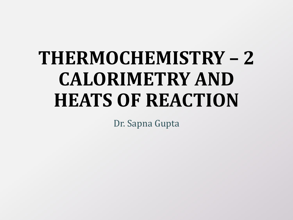# **THERMOCHEMISTRY – 2 CALORIMETRY AND HEATS OF REACTION**

Dr. Sapna Gupta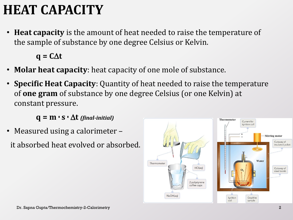# **HEAT CAPACITY**

• **Heat capacity** is the amount of heat needed to raise the temperature of the sample of substance by one degree Celsius or Kelvin.

 $q = C\Delta t$ 

- **Molar heat capacity**: heat capacity of one mole of substance.
- **Specific Heat Capacity**: Quantity of heat needed to raise the temperature of **one gram** of substance by one degree Celsius (or one Kelvin) at constant pressure.

 $q = m \cdot s \cdot \Delta t$  (final-initial)

• Measured using a calorimeter –

it absorbed heat evolved or absorbed.

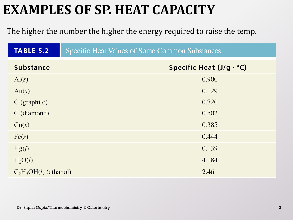# **EXAMPLES OF SP. HEAT CAPACITY**

#### The higher the number the higher the energy required to raise the temp.

| <b>TABLE 5.2</b>                | <b>Specific Heat Values of Some Common Substances</b> |
|---------------------------------|-------------------------------------------------------|
| <b>Substance</b>                | Specific Heat $(J/g \cdot {}^{\circ}C)$               |
| $\text{Al}(s)$                  | 0.900                                                 |
| Au(s)                           | 0.129                                                 |
| $C$ (graphite)                  | 0.720                                                 |
| $C$ (diamond)                   | 0.502                                                 |
| Cu(s)                           | 0.385                                                 |
| Fe(s)                           | 0.444                                                 |
| Hg(l)                           | 0.139                                                 |
| H <sub>2</sub> O(l)             | 4.184                                                 |
| $C_2H_5OH(l)$ (ethanol)<br>2.46 |                                                       |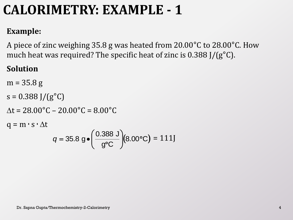#### **Example:**

A piece of zinc weighing 35.8 g was heated from 20.00°C to 28.00°C. How much heat was required? The specific heat of zinc is 0.388 J/(g°C).

#### **Solution**

 $m = 35.8 g$  $s = 0.388$  J/( $g^{\circ}C$ )

 $\Delta t = 28.00^{\circ}C - 20.00^{\circ}C = 8.00^{\circ}C$ 

 $q = m \cdot s \cdot \Delta t$ 

$$
q = 35.8
$$
 g  $\bullet \left( \frac{0.388 \text{ J}}{g^{\circ}C} \right) (8.00^{\circ}C) = 111$  J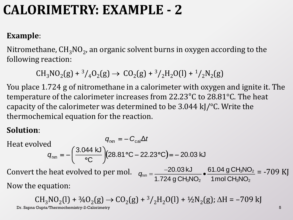#### **Example**:

Nitromethane,  $\text{CH}_3\text{NO}_2$ , an organic solvent burns in oxygen according to the following reaction:

$$
CH_3NO_2(g) + \frac{3}{4}O_2(g) \rightarrow CO_2(g) + \frac{3}{2}H_2O(l) + \frac{1}{2}N_2(g)
$$

You place 1.724 g of nitromethane in a calorimeter with oxygen and ignite it. The temperature of the calorimeter increases from 22.23°C to 28.81°C. The heat capacity of the calorimeter was determined to be 3.044 kJ/°C. Write the thermochemical equation for the reaction.

#### **Solution**:

Heat evolved Convert the heat evolved to per mol.  $q_{xx} = \frac{-20.03 \text{ kJ}}{1.724 \text{ g} \text{CH}_3\text{NO}_2} \cdot \frac{61.04 \text{ g} \text{CH}_3\text{NO}_2}{1 \text{ mol } \text{CH}_3\text{NO}_2} = -709 \text{ KJ}$ Now the equation: (28.81 °C – 22.23 °C) = – 20.03 kJ C 3.044 kJ Δ rxn  $_{\text{rxn}}$   $\mathbf{v}_{\text{cal}}$  $(28.81 °C - 22.23 °C) = -$ )  $\backslash$  $\mathsf{I}$  $\setminus$  $\big($  $\circ$  $=$   $=$   $$ *q*  $q_{\rm rxn} = -C_{\rm cal} \Delta t$  $20.03 \text{ kJ}$   $=$   $\frac{-20.03 \text{ kJ}}{4.784 \cdot 0.01110}$   $\bullet$   $\frac{61.04 \text{ g} \text{CH}_3\text{NO}}{4.784 \cdot 0.01110}$  $\frac{-20.03 \text{ kJ}}{1.724 \text{ g } \text{CH}_3\text{NO}_2}$   $\bullet$   $\frac{61.04 \text{ g } \text{CH}_3\text{NO}}{1 \text{ mol } \text{CH}_3\text{NO}}$ *q*  $\overline{\phantom{0}}$  $=\frac{-20.03 \text{ kJ}}{1.724 \text{ g} \text{C H} \cdot \text{N} \cdot \text{C}} \cdot \frac{61.04}{1 \text{ mg}}$ 

 $CH_3NO_2(I) + \frac{3}{4}O_2(g) \rightarrow CO_2(g) + \frac{3}{2}H_2O(I) + \frac{1}{2}N_2(g)$ ;  $\Delta H = -709$  kJ Dr. Sapna Gupta/Thermochemistry-2-Calorimetry 5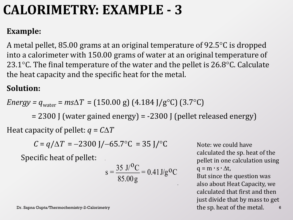#### **Example:**

A metal pellet, 85.00 grams at an original temperature of 92.5 $\degree$ C is dropped into a calorimeter with 150.00 grams of water at an original temperature of 23.1 $\degree$ C. The final temperature of the water and the pellet is 26.8 $\degree$ C. Calculate the heat capacity and the specific heat for the metal.

#### **Solution:**

Energy = 
$$
q_{\text{water}} = ms\Delta T = (150.00 \text{ g}) (4.184 \text{ J/g}^{\circ}\text{C}) (3.7^{\circ}\text{C})
$$

= 2300 J (water gained energy) = -2300 J (pellet released energy)

Heat capacity of pellet:  $q = C\Delta T$ 

$$
C = q/\Delta T = -2300
$$
 J/ $-65.7$ °C = 35 J/°C

Specific heat of pellet:

$$
s = \frac{35 \text{ J}/^0\text{C}}{85.00 \text{ g}} = 0.41 \text{ J/g}^0\text{C}
$$

Dr. Sapna Gupta/Thermochemistry-2-Calorimetry

Note: we could have calculated the sp. heat of the pellet in one calculation using  $q = m \cdot s \cdot \Delta t$ , But since the question was also about Heat Capacity, we calculated that first and then just divide that by mass to get the sp. heat of the metal.  $\qquad 6$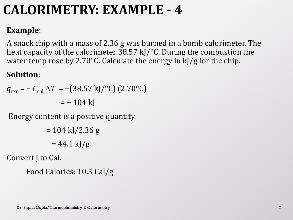#### **Example**:

A snack chip with a mass of 2.36 g was burned in a bomb calorimeter. The heat capacity of the calorimeter 38.57 kJ/ $\degree$ C. During the combustion the water temp rose by 2.70 $\degree$ C. Calculate the energy in kJ/g for the chip.

#### **Solution**:

$$
q_{\text{rxn}} = - C_{\text{cal}} \Delta T = -(38.57 \text{ kJ}/^{\circ}\text{C}) (2.70^{\circ}\text{C})
$$

$$
= -104 \text{ kJ}
$$

Energy content is a positive quantity.

 $= 104 \text{ kJ} / 2.36 \text{ g}$  $= 44.1 \text{ kJ/g}$ 

Convert J to Cal.

Food Calories: 10.5 Cal/g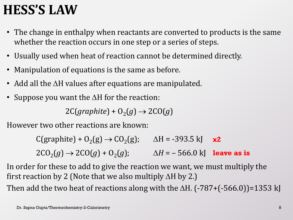# **HESS'S LAW**

- The change in enthalpy when reactants are converted to products is the same whether the reaction occurs in one step or a series of steps.
- Usually used when heat of reaction cannot be determined directly.
- Manipulation of equations is the same as before.
- Add all the  $\Delta H$  values after equations are manipulated.
- Suppose you want the  $\Delta H$  for the reaction:

 $2C(graphite) + O<sub>2</sub>(g) \rightarrow 2CO(g)$ 

However two other reactions are known:

 $C(\text{graphite}) + O_2(g) \rightarrow CO_2$  $\Delta H = -393.5 \text{ kJ}$  $2CO_2(g) \to 2CO(g) + O_2$  $(g)$ ;  $\Delta H = -566.0 \text{ kJ}$  leave as is **x2**

In order for these to add to give the reaction we want, we must multiply the first reaction by 2 (Note that we also multiply  $\Delta H$  by 2.)

Then add the two heat of reactions along with the  $\Delta H$ . (-787+(-566.0))=1353 kJ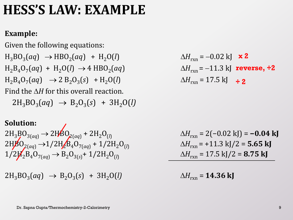# **HESS'S LAW: EXAMPLE**

#### **Example:**

Given the following equations:  $H_3BO_3(aq) \rightarrow HBO_2$  $H_2B_4O_7(aq) + H_2O(l) \rightarrow 4 HBO_2$  $H_2B_4O_7(aq) \rightarrow 2 B_2O_3$ Find the  $\Delta H$  for this overall reaction.  $2H_3BO_3(aq) \rightarrow B_2O_3(s) + 3H_2O(l)$ 

#### **Solution:**

 $2H_3BO_{3(aq)} → 2HBO_{2(aq)} + 2H_2O_{(l)}$  $2H\cancel{B}O_{2(aq)} \rightarrow 1/2H_{2}B_{4}O_{7(aq)} + 1/2H_{2}O_{(l)}$  $1/2H_2B_4O_{7(aq)} \rightarrow B_2O_{3(s)} + 1/2H_2O_{(l)}$ 

 $2H_3BO_3(aq) \rightarrow B_2O_3$ 

 $(aq) + H_2O(l)$   $\Delta H_{rxn} = -0.02 \text{ kJ}$  **x 2**  $(Aq)$   $\Delta H_{rxn} = -11.3 \text{ kJ}$  **reverse,**  $\div$ **2**  $(A) + H_2O(I)$   $\Delta H_{rxn} = 17.5 \text{ kJ}$   $\div 2$ 

$$
\Delta H_{\text{rxn}} = 2(-0.02 \text{ kJ}) = -0.04 \text{ kJ}
$$

$$
\Delta H_{\text{rxn}} = +11.3 \text{ kJ}/2 = 5.65 \text{ kJ}
$$

$$
\Delta H_{\text{rxn}} = 17.5 \text{ kJ}/2 = 8.75 \text{ kJ}
$$

 $\Delta H_{\rm rxn}$  = 14.36 kJ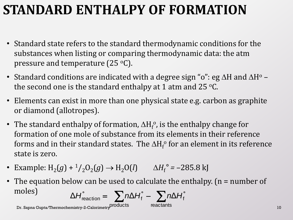# **STANDARD ENTHALPY OF FORMATION**

- Standard state refers to the standard thermodynamic conditions for the substances when listing or comparing thermodynamic data: the atm pressure and temperature  $(25 \degree C)$ .
- Standard conditions are indicated with a degree sign "o": eg  $\Delta H$  and  $\Delta H^{\circ}$  the second one is the standard enthalpy at 1 atm and 25  $\,^{\circ}$ C.
- Elements can exist in more than one physical state e.g. carbon as graphite or diamond (allotropes).
- The standard enthalpy of formation,  $\Delta H_f^o$ , is the enthalpy change for formation of one mole of substance from its elements in their reference forms and in their standard states. The  $\Delta H_{\rm f}^{\rm o}$  for an element in its reference state is zero.
- Example:  $H_2(g) + \frac{1}{2}O_2(g) \rightarrow H_2O(l)$   $\Delta H_f^{\circ} = -285.8 \text{ kJ}$
- The equation below can be used to calculate the enthalpy. (n = number of moles)  $\Delta H_{\text{reaction}}^{\circ} = \sum n \Delta H_{\text{f}}^{\circ} - \sum$  $\Delta H_{\rm reaction}^{\circ} = \sum n \Delta H_{\rm f}^{\circ} - \sum n \Delta H_{\rm f}^{\circ}$

reactants

Dr. Sapna Gupta/Thermochemistry-2-Calorimetry DIOducts reactants the control of the control of the control of t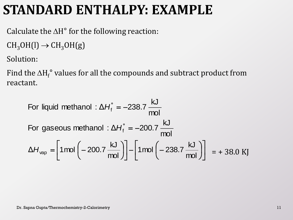### **STANDARD ENTHALPY: EXAMPLE**

Calculate the  $\Delta H^{\circ}$  for the following reaction:

 $CH_3OH(l) \rightarrow CH_3OH(g)$ 

Solution:

Find the  $\Delta H_{\rm f}^{\rm \circ}$  values for all the compounds and subtract product from reactant.

For liquid methanol : 
$$
\Delta H_f^{\circ} = -238.7 \frac{kJ}{mol}
$$
  
For gaseous methanol :  $\Delta H_f^{\circ} = -200.7 \frac{kJ}{mol}$   

$$
\Delta H_{vap} = \left[ 1 \text{mol} \left( -200.7 \frac{kJ}{mol} \right) \right] - \left[ 1 \text{mol} \left( -238.7 \frac{kJ}{mol} \right) \right] = + 38.0 \text{ KJ}
$$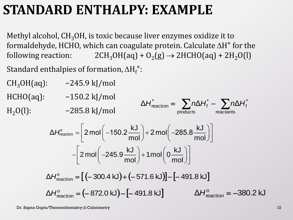## **STANDARD ENTHALPY: EXAMPLE**

Methyl alcohol,  $CH<sub>3</sub>OH$ , is toxic because liver enzymes oxidize it to formaldehyde, HCHO, which can coagulate protein. Calculate  $\Delta H^{\circ}$  for the following reaction:  $2CH_3OH(aq) + O_2(g) \rightarrow 2HCHO(aq) + 2H_2O(l)$ 

Standard enthalpies of formation,  $\Delta H_{\rm f}^{\circ}$ :

 $CH<sub>3</sub>OH(aq):$  -245.9 kJ/mol

HCH<sub>(</sub>

 $H<sub>2</sub>O($ 

$$
O(aq): \t-150.2 \text{ kJ/mol} \Delta H_{\text{reaction}}^{\circ} = \sum_{\text{products}} n\Delta H_{\text{reactions}}^{\circ} - \sum_{\text{reactants}} n\Delta H_{\text{f}}^{\circ}
$$

$$
-285.8 \text{ kJ/mol}
$$
  
\n
$$
\Delta H_{\text{reaction}}^{\circ} = \left[ 2 \text{ mol} \left( -150.2 \frac{\text{ kJ}}{\text{mol}} \right) + 2 \text{ mol} \left( -285.8 \frac{\text{ kJ}}{\text{mol}} \right) \right]
$$
  
\n
$$
- \left[ 2 \text{ mol} \left( -245.9 \frac{\text{ kJ}}{\text{mol}} \right) + 1 \text{ mol} \left( 0 \frac{\text{ kJ}}{\text{mol}} \right) \right]
$$

$$
\Delta H_{\text{reaction}}^{\circ} = [(-300.4 \text{ kJ}) + (-571.6 \text{ kJ})] - [-491.8 \text{ kJ}]
$$
  
\n
$$
\Delta H_{\text{reaction}}^{\circ} = (-872.0 \text{ kJ}) - [-491.8 \text{ kJ}] \qquad \Delta H_{\text{reaction}}^{\circ} = -380.2 \text{ kJ}
$$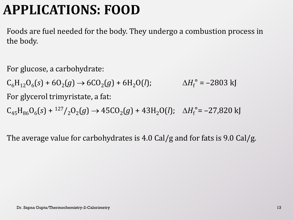# **APPLICATIONS: FOOD**

Foods are fuel needed for the body. They undergo a combustion process in the body.

For glucose, a carbohydrate:

 $C_6H_{12}O_6(s) + 6O_2(g) \rightarrow 6CO_2(g) + 6H_2O(l);$   $\Delta H_f$  $e^{\circ}$  =  $-2803$  kJ

For glycerol trimyristate, a fat:

 $C_{45}H_{86}O_{6}(s) + {}^{127}/_{2}O_{2}(g) \rightarrow 45CO_{2}(g) + 43H_{2}O(l); \Delta H_{f}^{\circ} = -27,820 \text{ kJ}$ 

The average value for carbohydrates is 4.0 Cal/g and for fats is 9.0 Cal/g.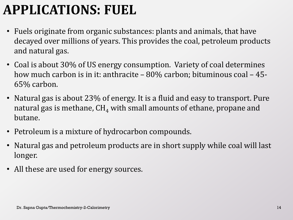# **APPLICATIONS: FUEL**

- Fuels originate from organic substances: plants and animals, that have decayed over millions of years. This provides the coal, petroleum products and natural gas.
- Coal is about 30% of US energy consumption. Variety of coal determines how much carbon is in it: anthracite – 80% carbon; bituminous coal – 45- 65% carbon.
- Natural gas is about 23% of energy. It is a fluid and easy to transport. Pure natural gas is methane,  $CH_4$  with small amounts of ethane, propane and butane.
- Petroleum is a mixture of hydrocarbon compounds.
- Natural gas and petroleum products are in short supply while coal will last longer.
- All these are used for energy sources.